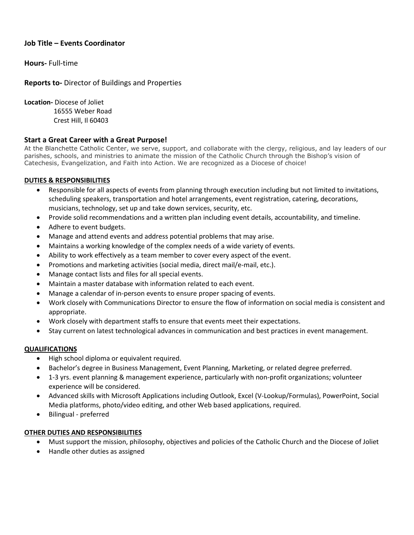# **Job Title – Events Coordinator**

**Hours-** Full-time

### **Reports to-** Director of Buildings and Properties

**Location-** Diocese of Joliet 16555 Weber Road Crest Hill, Il 60403

## **Start a Great Career with a Great Purpose!**

At the Blanchette Catholic Center, we serve, support, and collaborate with the clergy, religious, and lay leaders of our parishes, schools, and ministries to animate the mission of the Catholic Church through the Bishop's vision of Catechesis, Evangelization, and Faith into Action. We are recognized as a Diocese of choice!

## **DUTIES & RESPONSIBILITIES**

- Responsible for all aspects of events from planning through execution including but not limited to invitations, scheduling speakers, transportation and hotel arrangements, event registration, catering, decorations, musicians, technology, set up and take down services, security, etc.
- Provide solid recommendations and a written plan including event details, accountability, and timeline.
- Adhere to event budgets.
- Manage and attend events and address potential problems that may arise.
- Maintains a working knowledge of the complex needs of a wide variety of events.
- Ability to work effectively as a team member to cover every aspect of the event.
- Promotions and marketing activities (social media, direct mail/e-mail, etc.).
- Manage contact lists and files for all special events.
- Maintain a master database with information related to each event.
- Manage a calendar of in-person events to ensure proper spacing of events.
- Work closely with Communications Director to ensure the flow of information on social media is consistent and appropriate.
- Work closely with department staffs to ensure that events meet their expectations.
- Stay current on latest technological advances in communication and best practices in event management.

#### **QUALIFICATIONS**

- High school diploma or equivalent required.
- Bachelor's degree in Business Management, Event Planning, Marketing, or related degree preferred.
- 1-3 yrs. event planning & management experience, particularly with non-profit organizations; volunteer experience will be considered.
- Advanced skills with Microsoft Applications including Outlook, Excel (V-Lookup/Formulas), PowerPoint, Social Media platforms, photo/video editing, and other Web based applications, required.
- Bilingual preferred

#### **OTHER DUTIES AND RESPONSIBILITIES**

- Must support the mission, philosophy, objectives and policies of the Catholic Church and the Diocese of Joliet
- Handle other duties as assigned